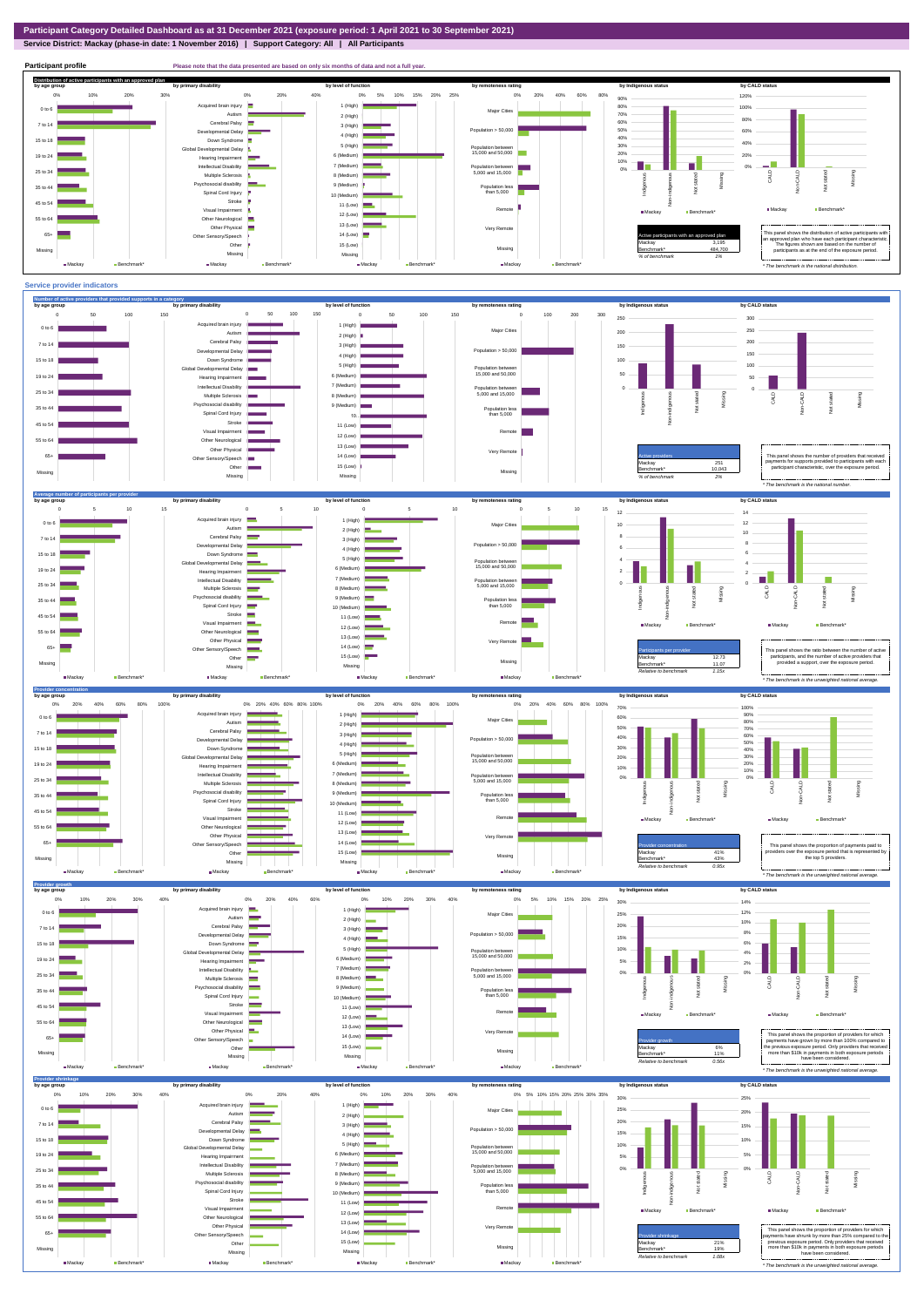**Service District: Mackay (phase-in date: 1 November 2016) | Support Category: All | All Participants**



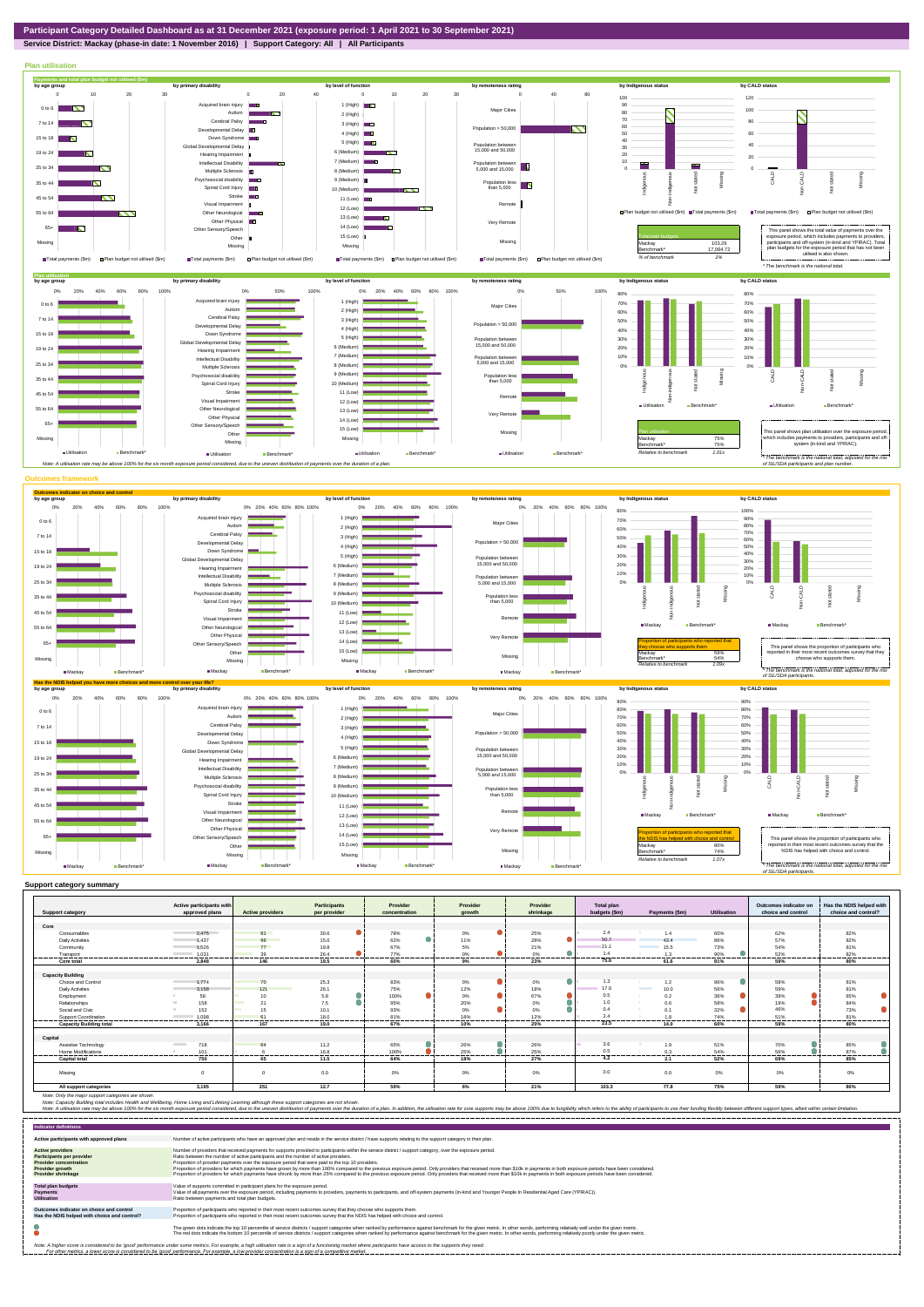**Service District: Mackay (phase-in date: 1 November 2016) | Support Category: All | All Participants**



|                                | Active participants with                   |                         | Participants    | Provider       | Provider      | Provider        | Total plan    |                                  |                | Outcomes indicator on | Has the NDIS helped with |
|--------------------------------|--------------------------------------------|-------------------------|-----------------|----------------|---------------|-----------------|---------------|----------------------------------|----------------|-----------------------|--------------------------|
| <b>Support category</b>        | approved plans                             | <b>Active providers</b> | per provider    | concentration  | arowth        | shrinkage       | budgets (\$m) | Payments (\$m)                   | Utilisation    | choice and control    | choice and control?      |
|                                |                                            |                         |                 |                |               |                 |               |                                  |                |                       |                          |
| Core                           |                                            |                         |                 |                |               |                 |               |                                  |                |                       |                          |
| Consumables                    | 2.475                                      | 81                      | 30.6            | 78%            | $0\%$         | 25%             | 2.4           | 1.4                              | 60%            | 62%                   | 82%                      |
| <b>Daily Activities</b>        | 1.437                                      | 96                      | 15.0            | 62%<br>0       | 11%           | 28%             | 50.7          | 43.4                             | 86%            | 57%                   | 82%                      |
| Community                      | 1.526                                      | 77                      | 19.8            | 67%            | 5%            | 21%             | 21.1          | 15.5                             | 73%            | 54%                   | 81%                      |
| Transport                      | 1.031                                      | 39<br>-------           | 26.4<br>------  | 77%<br>------- | 0%<br>------- | 0%<br>.         | 1.4           |                                  | 90%<br>------  | 52%<br>               | 82%<br>-------           |
| Core total                     | 2.848                                      | 146                     | 19.5            | 60%            | 9%            | 23%             | 75.6          | 61.6                             | 81%            | 59%                   | 80%                      |
|                                |                                            |                         |                 |                |               |                 |               |                                  |                |                       |                          |
| <b>Capacity Building</b>       |                                            |                         |                 |                |               |                 |               |                                  |                |                       |                          |
| Choice and Control             | 1.774                                      | 70                      | 25.3            | 83%            | $0\%$         | 0%              | 1.3           | 1.2                              | 96%            | 58%                   | 81%                      |
| <b>Daily Activities</b>        | 3.158                                      | 121                     | 26.1            | 75%            | 12%           | 18%             | 17.6          | <b>Contract Contract</b><br>10.0 | 56%            | 59%                   | 81%                      |
| Employment                     | 58                                         | 10                      | 5.8             | 100%           | 0%            | 67%             | 0.5           | 0.2<br><b>SALE</b>               | 36%            | 39%                   | 65%                      |
| Relationships                  | 158                                        | 21                      | 7.5             | 95%            | 20%           | 0%              | 1.0           | 0.6                              | 58%            | 19%                   | 84%                      |
| Social and Civic               | 152                                        | $\sim$<br>15            | 10.1            | 93%            | 0%            | 0%              | 0.4           | 0.1                              | 32%            | 46%                   | 73%                      |
| Support Coordination           | 1.098<br><b>Contract Contract Contract</b> | 61<br>                  | 18.0<br>------- | 81%<br>------- | 18%<br>.      | 12%<br>-------- | 24            |                                  | 74%<br>------- | 51%<br>--------       | 81%<br>                  |
| <b>Capacity Building total</b> | 3.166                                      | 167                     | 19.0            | 67%            | 10%           | 20%             | 23.5          | 14.0                             | 60%            | 59%                   | 80%                      |
|                                |                                            |                         |                 |                |               |                 |               |                                  |                |                       |                          |
| Capital                        |                                            |                         |                 |                |               |                 |               |                                  |                |                       |                          |
| Assistive Technology           | 718<br><b>Contract Contract</b>            | 64                      | 11.2            | 65%            | 26%           | 26%             | 3.6           | 1.9                              | 51%            | 70%                   | 85%                      |
| Home Modifications             | 101                                        |                         | 16.8            | 100%           | 25%           | 25%             | 0.5           | 0.3                              | 54%            | 56%                   | 87%                      |
| <b>Capital total</b>           | 750                                        | 65                      | 11.5            | 64%            | 18%           | 27%             | 4.2           | 2.1                              | 52%            | 69%                   | 85%                      |
|                                |                                            |                         |                 |                |               |                 |               |                                  |                |                       |                          |
| Missina                        |                                            | $\Omega$                | 0.0             | 0%             | 0%            | 0%              | 0.0           | 0.0                              | 0%             | 0%                    | 0%                       |
|                                |                                            |                         |                 |                |               |                 |               |                                  |                |                       |                          |
| All support categories         | 3,195                                      | 251                     | 12.7            | 59%            | 6%            | 21%             | 103.3         | 77.8                             | 75%            | 59%                   | 80%                      |

Note: Only the major support categories are shown.<br>Note: Capacity Building total individual Wellbeing, Home Living and Lifelong Learning although these support categories are not shown.<br>Note: A utilisation rate may be abov

| <b>Indicator definitions</b>                                                                                                                        |                                                                                                                                                                                                                                                                                                                                                                                                                                                                                                                                                                                                                                                                                                                                                                                                                 |
|-----------------------------------------------------------------------------------------------------------------------------------------------------|-----------------------------------------------------------------------------------------------------------------------------------------------------------------------------------------------------------------------------------------------------------------------------------------------------------------------------------------------------------------------------------------------------------------------------------------------------------------------------------------------------------------------------------------------------------------------------------------------------------------------------------------------------------------------------------------------------------------------------------------------------------------------------------------------------------------|
| Active participants with approved plans                                                                                                             | Number of active participants who have an approved plan and reside in the service district / have supports relating to the support category in their plan.                                                                                                                                                                                                                                                                                                                                                                                                                                                                                                                                                                                                                                                      |
| <b>Active providers</b><br><b>Participants per provider</b><br><b>Provider concentration</b><br><b>Provider growth</b><br><b>Provider shrinkage</b> | Number of providers that received payments for supports provided to participants within the service district / support category, over the exposure period,<br>Ratio between the number of active participants and the number of active providers.<br>Proportion of provider payments over the exposure period that were paid to the top 10 providers.<br>Proportion of providers for which payments have grown by more than 100% compared to the previous exposure period. Only providers that received more than \$10k in payments in both exposure periods have been considered.<br>Proportion of providers for which payments have shrunk by more than 25% compared to the previous exposure period. Only providers that received more than \$10k in payments in both exposure periods have been considered. |
| <b>Total plan budgets</b><br><b>Payments</b><br><b>Utilisation</b>                                                                                  | Value of supports committed in participant plans for the exposure period.<br>Value of all payments over the exposure period, including payments to providers, payments to participants, and off-system payments (in-kind and Younger People In Residential Aged Care (YPIRAC)).<br>Ratio between payments and total plan budgets.                                                                                                                                                                                                                                                                                                                                                                                                                                                                               |
| Outcomes indicator on choice and control<br>Has the NDIS helped with choice and control?                                                            | Proportion of participants who reported in their most recent outcomes survey that they choose who supports them.<br>Proportion of participants who reported in their most recent outcomes survey that the NDIS has helped with choice and control.                                                                                                                                                                                                                                                                                                                                                                                                                                                                                                                                                              |
|                                                                                                                                                     | The green dots indicate the top 10 percentile of service districts / support categories when ranked by performance against benchmark for the given metric. In other words, performing relatively well under the given metric.<br>The red dots indicate the bottom 10 percentile of service districts / support categories when ranked by performance against benchmark for the given metric. In other words, performing relatively poorly under the given metri                                                                                                                                                                                                                                                                                                                                                 |
|                                                                                                                                                     | Note: A higher score is considered to be 'good' performance under some metrics. For example, a high utilisation rate is a sign of a functioning market where participants have access to the supports they need.<br>For other metrics, a lower score is considered to be 'good' performance. For example, a low provider concentration is a sign of a competitive market.                                                                                                                                                                                                                                                                                                                                                                                                                                       |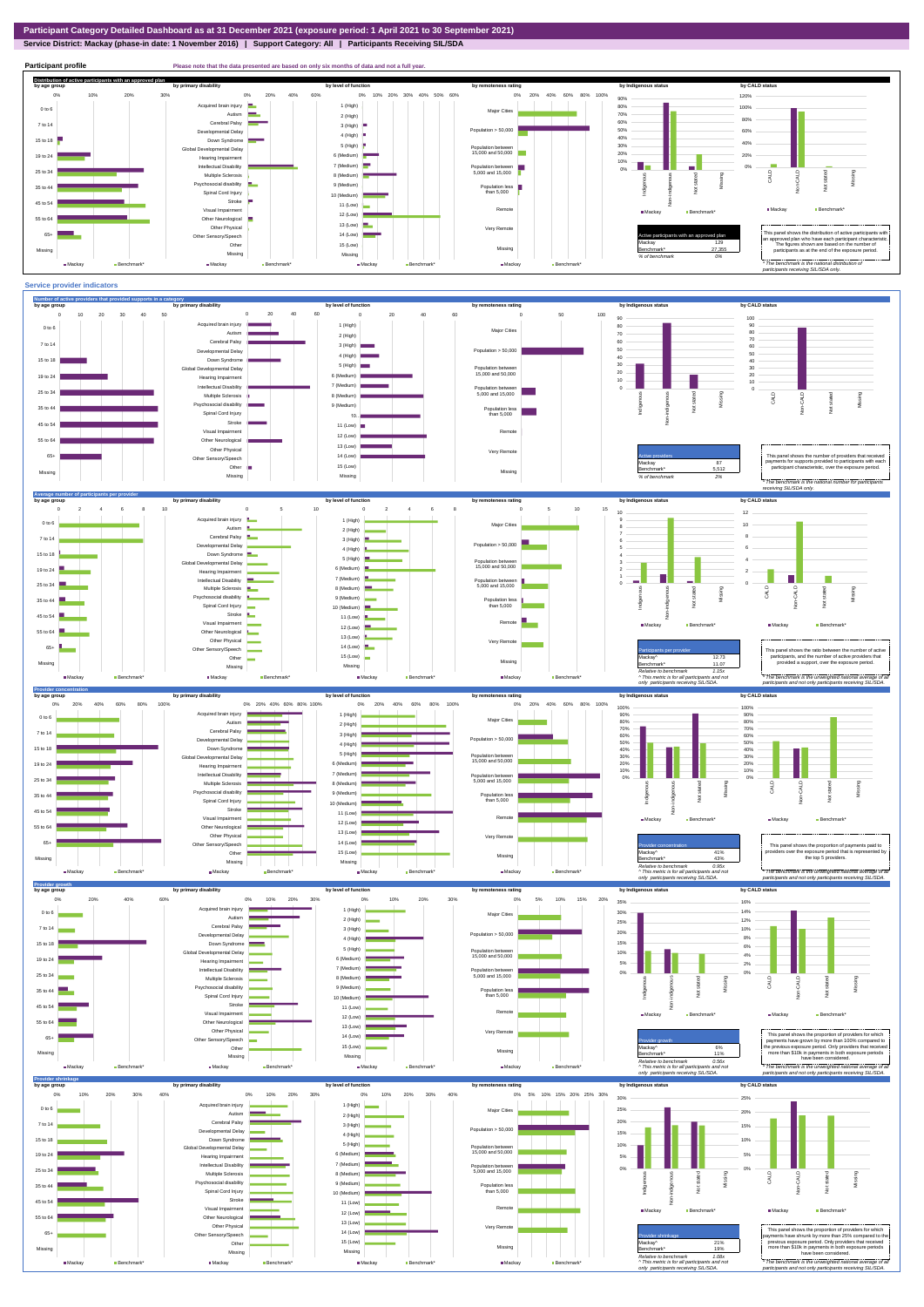**Service District: Mackay (phase-in date: 1 November 2016) | Support Category: All | Participants Receiving SIL/SDA**

![](_page_2_Figure_2.jpeg)

![](_page_2_Figure_3.jpeg)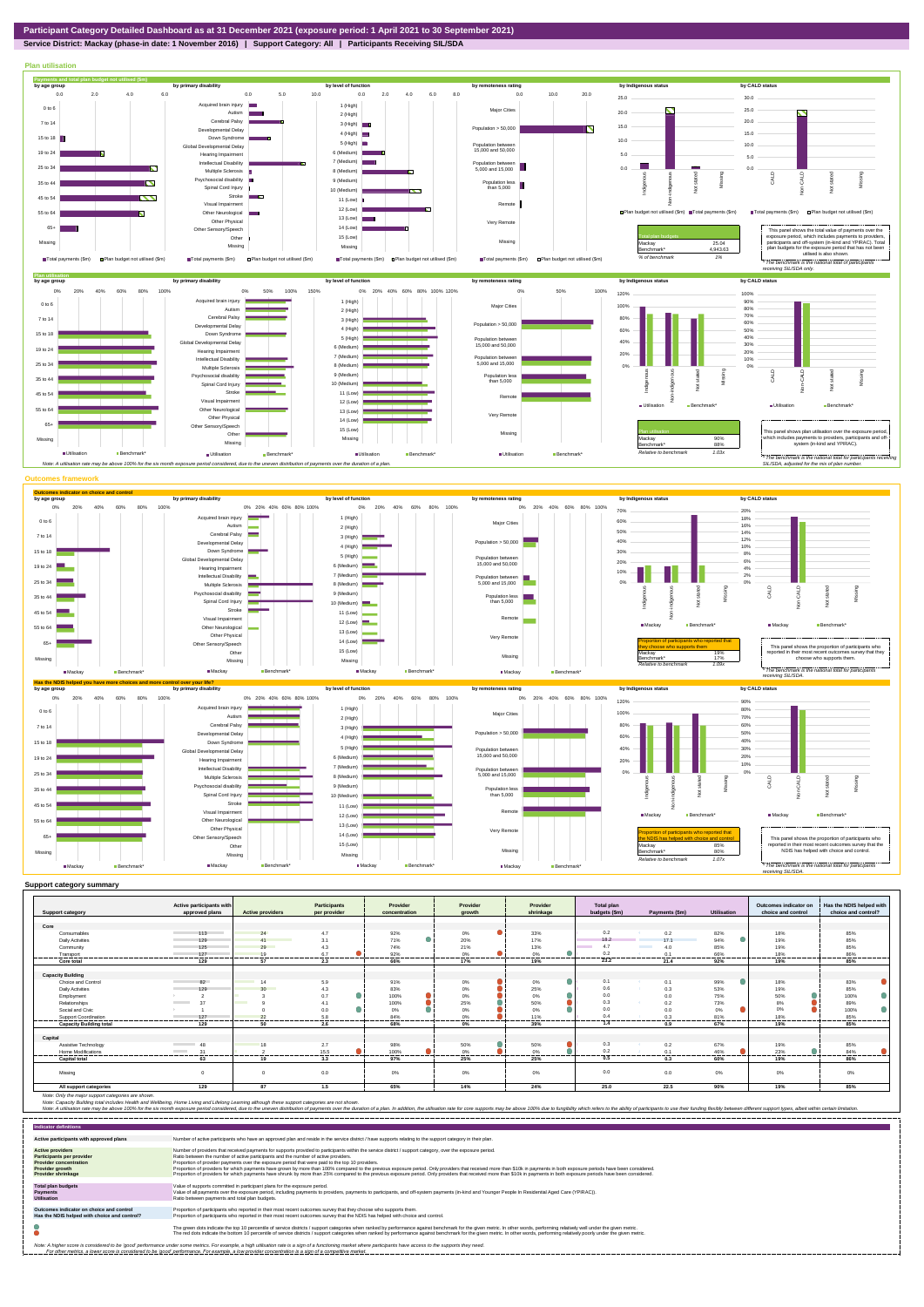**Service District: Mackay (phase-in date: 1 November 2016) | Support Category: All | Participants Receiving SIL/SDA**

![](_page_3_Figure_2.jpeg)

| <b>Support category</b>                                                      | Active participants with<br>approved plans | <b>Active providers</b>  | <b>Participants</b><br>per provider | Provider<br>concentration | Provider<br>growth | Provider<br>shrinkage | <b>Total plan</b><br>budgets (\$m) | Payments (\$m)   | <b>Utilisation</b> | Outcomes indicator on<br>choice and control | Has the NDIS helped with<br>choice and control? |
|------------------------------------------------------------------------------|--------------------------------------------|--------------------------|-------------------------------------|---------------------------|--------------------|-----------------------|------------------------------------|------------------|--------------------|---------------------------------------------|-------------------------------------------------|
|                                                                              |                                            |                          |                                     |                           |                    |                       |                                    |                  |                    |                                             |                                                 |
| Core                                                                         |                                            |                          |                                     |                           |                    |                       |                                    |                  |                    |                                             |                                                 |
| Consumables                                                                  | 113                                        | 24                       | 4.7                                 | 92%                       | $0\%$              | 33%                   | 0.2                                | 0.2              | 82%                | 18%                                         | 85%                                             |
| <b>Daily Activities</b>                                                      | 129                                        | 41                       | 3.1                                 | 71%                       | 20%                | 17%                   | 18.2                               | 17.1             | 94%                | 19%                                         | 85%                                             |
| Community                                                                    | 125                                        | 29                       | 4.3                                 | 74%                       | 21%                | 13%                   | 4.7                                | 4.0              | 85%                | 19%                                         | 85%                                             |
| Transport                                                                    | 127                                        | 19                       | 6.7                                 | 92%                       | 0%                 | 0%                    | 0.2                                | 0.1              | 66%                | 18%                                         | 86%                                             |
| Core total                                                                   | 129                                        | 57                       | 2.3                                 | 66%                       | 17%                | 19%                   | 23.2                               | 21.4             | 92%                | 19%                                         | 85%                                             |
|                                                                              |                                            |                          |                                     |                           |                    |                       |                                    |                  |                    |                                             |                                                 |
| <b>Capacity Building</b>                                                     |                                            |                          |                                     |                           |                    |                       |                                    |                  |                    |                                             |                                                 |
| Choice and Control                                                           | 82                                         | 1 <sub>A</sub>           | 5.9                                 | 91%                       | 0%                 | 0%                    | 0.1                                | 0.1              | 99%                | 18%                                         | 83%                                             |
| <b>Daily Activities</b>                                                      | 129                                        | 30 <sub>2</sub>          | 4.3                                 | 83%                       | $0\%$              | 25%                   | 0.6                                | 0.3              | 53%                | 19%                                         | 85%                                             |
| Employment                                                                   |                                            |                          | $\bullet$<br>0.7                    | 100%                      | 0%                 | 0%                    | 0.0                                | 0.0              | 75%                | 50%                                         | 100%                                            |
| Relationships                                                                | 37<br><b>Contract Contract</b>             | <b>Contract Contract</b> |                                     | 100%                      | 25%                | 50%                   | 0.3                                | 0.2              | 73%                | 8%                                          | 89%                                             |
| Social and Civic                                                             |                                            |                          | 0.0                                 | 0%                        | 0%                 | 0%                    | 0.0                                | 0.0              | 0%                 | 0%                                          | 100%                                            |
| Support Coordination                                                         | 127                                        | 22                       | 5.8                                 | 84%                       |                    | 11%                   | 0.4                                | 0.3              | 81%                | 18%                                         | 85%                                             |
| <b>Capacity Building total</b>                                               | 129                                        | 50                       | -----<br>2.6                        | 68%                       | 0%                 | 39%                   | 1.4                                | 0.9              | 67%                | 19%                                         | 85%                                             |
| Capital                                                                      |                                            |                          |                                     |                           |                    |                       |                                    |                  |                    |                                             |                                                 |
| Assistive Technology                                                         | 48                                         |                          | 2.7                                 | 98%                       | 50%                | 50%                   | 0.3                                | 0.2              | 67%                | 19%                                         | 85%                                             |
| <b>Home Modifications</b>                                                    | 31<br><b>Contract Contract</b>             |                          | 15.5                                | 100%                      | 0%                 | 0%                    | 0.2                                | 0.1              | 46%                | 23%                                         | 84%                                             |
| <b>Capital total</b>                                                         | ----------------<br>63                     | ,,,,,,,,,<br>19          | .<br>3.3                            | -------<br>97%            | <br>25%            | -------<br>25%        | ----------<br>0.5                  | ---------<br>0.3 | <br>60%            | <br>19%                                     | 86%                                             |
|                                                                              |                                            |                          |                                     |                           |                    |                       |                                    |                  |                    |                                             |                                                 |
| Missing                                                                      | $\Omega$                                   | $\Omega$                 | 0.0                                 | 0%                        | 0%                 | 0%                    | 0.0                                | 0.0              | $0\%$              | 0%                                          | 0%                                              |
|                                                                              | 129                                        | 87                       | 1.5                                 | 65%                       | 14%                | 24%                   | 25.0                               | 22.5             | 90%                | 19%                                         | 85%                                             |
| All support categories<br>Note: Only the major support categories are shown. |                                            |                          |                                     |                           |                    |                       |                                    |                  |                    |                                             |                                                 |

| <b>Indicator definitions</b>                                                                                                                        |                                                                                                                                                                                                                                                                                                                                                                                                                                                                                                                                                                                                                                                                                                                                                                                                                 |
|-----------------------------------------------------------------------------------------------------------------------------------------------------|-----------------------------------------------------------------------------------------------------------------------------------------------------------------------------------------------------------------------------------------------------------------------------------------------------------------------------------------------------------------------------------------------------------------------------------------------------------------------------------------------------------------------------------------------------------------------------------------------------------------------------------------------------------------------------------------------------------------------------------------------------------------------------------------------------------------|
| Active participants with approved plans                                                                                                             | Number of active participants who have an approved plan and reside in the service district / have supports relating to the support category in their plan.                                                                                                                                                                                                                                                                                                                                                                                                                                                                                                                                                                                                                                                      |
| <b>Active providers</b><br><b>Participants per provider</b><br><b>Provider concentration</b><br><b>Provider growth</b><br><b>Provider shrinkage</b> | Number of providers that received payments for supports provided to participants within the service district / support category, over the exposure period.<br>Ratio between the number of active participants and the number of active providers.<br>Proportion of provider payments over the exposure period that were paid to the top 10 providers.<br>Proportion of providers for which payments have grown by more than 100% compared to the previous exposure period. Only providers that received more than \$10k in payments in both exposure periods have been considered.<br>Proportion of providers for which payments have shrunk by more than 25% compared to the previous exposure period. Only providers that received more than \$10k in payments in both exposure periods have been considered. |
| <b>Total plan budgets</b><br><b>Payments</b><br><b>Utilisation</b>                                                                                  | Value of supports committed in participant plans for the exposure period.<br>Value of all payments over the exposure period, including payments to providers, payments to participants, and off-system payments (in-kind and Younger People In Residential Aged Care (YPIRAC)).<br>Ratio between payments and total plan budgets.                                                                                                                                                                                                                                                                                                                                                                                                                                                                               |
| Outcomes indicator on choice and control<br>Has the NDIS helped with choice and control?                                                            | Proportion of participants who reported in their most recent outcomes survey that they choose who supports them.<br>Proportion of participants who reported in their most recent outcomes survey that the NDIS has helped with choice and control.                                                                                                                                                                                                                                                                                                                                                                                                                                                                                                                                                              |
|                                                                                                                                                     | The green dots indicate the top 10 percentile of service districts / support categories when ranked by performance against benchmark for the given metric. In other words, performing relatively well under the given metric.<br>The red dots indicate the bottom 10 percentile of service districts / support categories when ranked by performance against benchmark for the given metric. In other words, performing relatively poorly under the given metri                                                                                                                                                                                                                                                                                                                                                 |
|                                                                                                                                                     | Note: A higher score is considered to be 'good' performance under some metrics. For example, a high utilisation rate is a sign of a functioning market where participants have access to the supports they need.<br>For other metrics, a lower score is considered to be 'good' performance. For example, a low provider concentration is a sign of a competitive market.                                                                                                                                                                                                                                                                                                                                                                                                                                       |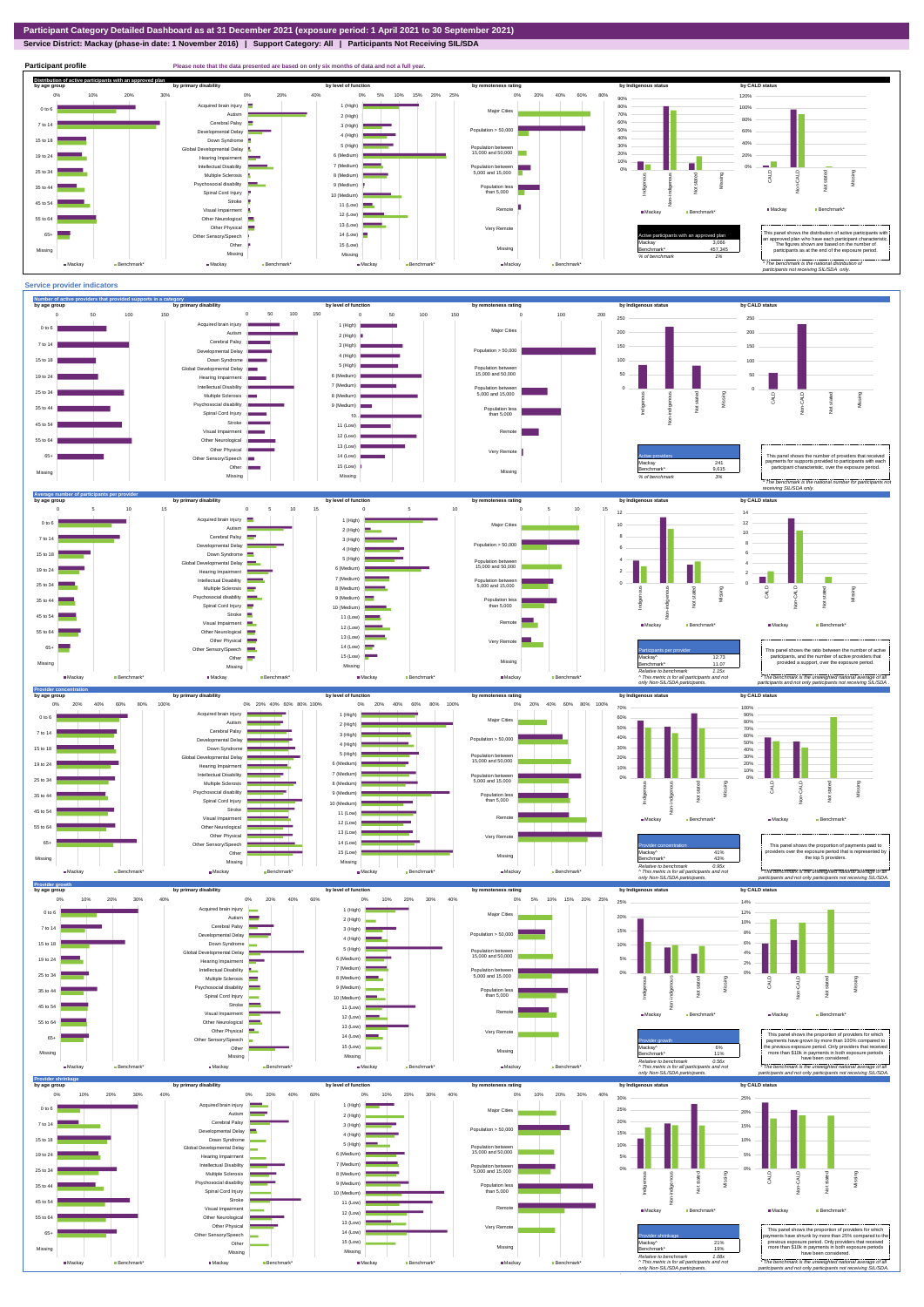## **Service District: Mackay (phase-in date: 1 November 2016) | Support Category: All | Participants Not Receiving SIL/SDA**

**Participant profile Please note that the data presented are based on only six months of data and not a full year. Distribution of active participants with an approved plan** by age group by primary disability by remoteness rating by hdigenous status by CALD status 0% 5% 10% 15% 20% 25% 0% 20% 40% 60% 80% 120% 0% 10% 20% 30% 0% 20% 40% 90% d brain injury 1 (High)  $\blacksquare$ 80% 100% 0 to 6 Major Cities Autism 70% 2 (High) 80% 60% Cerebral Palsy 7 to 14 3 (High) Accession<br>ental Delay Population  $> 50,000$ 50% 60% 4 (High) 40% 15 to 18 Down Syndrome 40% 5 (High) 30% evelopmental Delay Population between 15,000 and 50,000 20% 6 (Medium) 20% 19 to 24 Hearing Impairment 10%  $0\%$   $\qquad$ **The State** 7 (Medium) m. Intellectual Disability Population between 5,000 and 15,000 0% 25 to 34 Multiple Sclerosis CALD Non-CALD Missing 8 (Medium) tengus Non-indigenous .<br>cial disability Indigenous Missing 9 (Medium) 35 to 44 Population less than 5,000 nstated in 1916.<br>Note  $\frac{1}{2}$ Spinal Cord Injury Ť 10 (Medium) Stroke 45 to 54 11 (Low) š ■ Mackay Benchmark Visual Impairmen Remote ■Mackay Benchmark 12 (Low) 55 to 64 Other Neurological 13 (Low) Other Physical Very Remote Active participants with an approved plan This panel shows the distribution of active participants with an approved plan who have each participant characteristic. 65+ Sensory/Speech 14 (Low) Other 15 (Low) Mackay 3,066 The figures shown are based on the number of participants as at the end of the exposure period. Missing Benchmark\* 457,345 Missing Missing Missing *% of benchmark 1% The benchmark is the natio participants not receiving SIL/SDA only.* ■Mackay **Benchmark\*** ■ Mackay Benchmark **B** Mackay Mackay Benchmark

![](_page_4_Figure_3.jpeg)